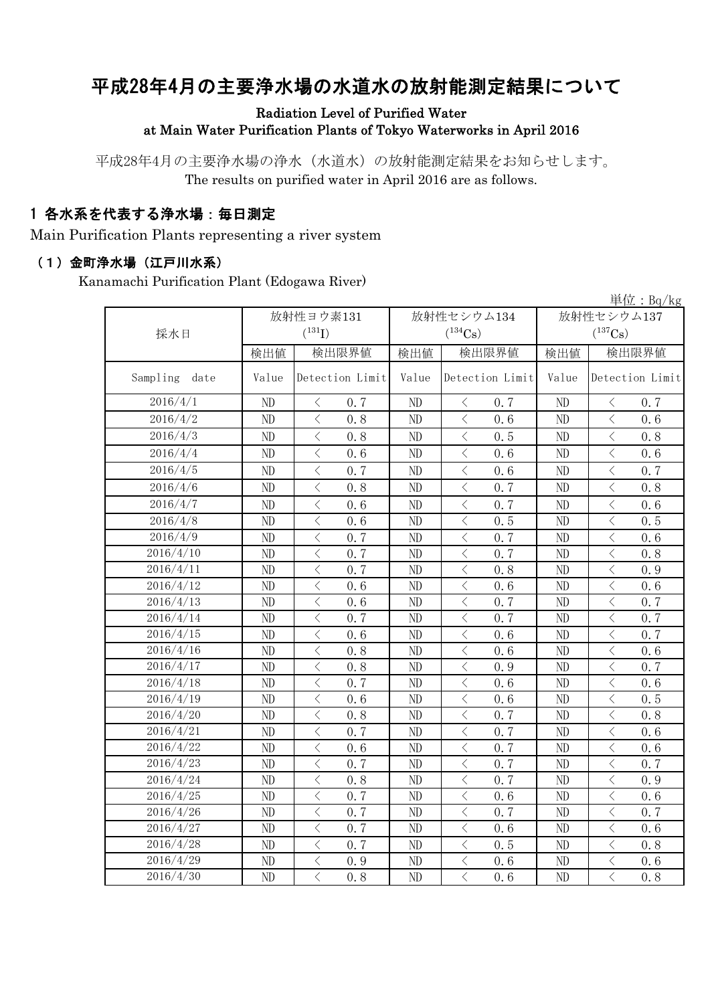# 平成28年4月の主要浄水場の水道水の放射能測定結果について

#### Radiation Level of Purified Water at Main Water Purification Plants of Tokyo Waterworks in April 2016

平成28年4月の主要浄水場の浄水(水道水)の放射能測定結果をお知らせします。 The results on purified water in April 2016 are as follows.

## 1 各水系を代表する浄水場:毎日測定

Main Purification Plants representing a river system

#### (1)金町浄水場(江戸川水系)

Kanamachi Purification Plant (Edogawa River)

|                  |           |                                                 |       |                                                                                                                                                                                     |              | 単位: $Bq/kg$                                     |  |
|------------------|-----------|-------------------------------------------------|-------|-------------------------------------------------------------------------------------------------------------------------------------------------------------------------------------|--------------|-------------------------------------------------|--|
|                  | 放射性ヨウ素131 |                                                 |       | 放射性セシウム134                                                                                                                                                                          | 放射性セシウム137   |                                                 |  |
| 採水日              |           | $(^{131}I)$                                     |       | $(^{134}Cs)$                                                                                                                                                                        | $(^{137}Cs)$ |                                                 |  |
|                  | 検出値       | 検出限界値                                           | 検出値   | 検出限界値                                                                                                                                                                               | 検出値          | 検出限界値                                           |  |
| Sampling<br>date | Value     | Detection Limit                                 | Value | Detection Limit                                                                                                                                                                     | Value        | Detection Limit                                 |  |
| 2016/4/1         | ND        | $\langle$<br>0.7                                | ND    | $\langle$<br>0.7                                                                                                                                                                    | ND           | $\langle$<br>0.7                                |  |
| 2016/4/2         | ND        | $\overline{\left\langle \right\rangle }$<br>0.8 | ND    | $\langle$<br>0.6                                                                                                                                                                    | ND           | $\overline{\left\langle \right\rangle }$<br>0.6 |  |
| 2016/4/3         | ND        | $\hspace{0.1mm} <\hspace{0.1mm}$<br>0.8         | ND    | $\lt$<br>0.5                                                                                                                                                                        | ND           | $\lt$<br>0.8                                    |  |
| 2016/4/4         | ND        | $\overline{\left\langle \right\rangle }$<br>0.6 | ND    | $\,$ $\,$ $\,$<br>0.6                                                                                                                                                               | ND           | $\lt$<br>0.6                                    |  |
| 2016/4/5         | ND        | $\langle$<br>0.7                                | ND    | $\,$ $\,$ $\,$<br>0.6                                                                                                                                                               | ND           | $\langle$<br>0.7                                |  |
| 2016/4/6         | ND        | $\overline{\left\langle \right\rangle }$<br>0.8 | ND    | $\overline{\left\langle \right. }% ,\left\langle \overline{\left\langle \right. }% ,\left\langle \overline{\left\langle \right. }\right\rangle \right\rangle \left. \right.$<br>0.7 | ND           | $\overline{\left\langle \right\rangle }$<br>0.8 |  |
| 2016/4/7         | ND        | $\overline{\left\langle \right\rangle }$<br>0.6 | ND    | $\langle$<br>0.7                                                                                                                                                                    | ND           | $\overline{\left\langle \right\rangle }$<br>0.6 |  |
| 2016/4/8         | ND        | $\overline{\left\langle \right\rangle }$<br>0.6 | ND    | $\langle$<br>0.5                                                                                                                                                                    | ND           | $\overline{\left\langle \right\rangle }$<br>0.5 |  |
| 2016/4/9         | ND        | $\overline{\left\langle \right\rangle }$<br>0.7 | ND    | $\overline{\langle}$<br>0.7                                                                                                                                                         | ND           | $\,$ $\,$ $\,$<br>0.6                           |  |
| 2016/4/10        | ND        | $\,$ $\,$ $\,$<br>0.7                           | ND    | $\,$ $\,$ $\,$<br>0.7                                                                                                                                                               | ND           | $\langle$<br>0.8                                |  |
| 2016/4/11        | ND        | $\,$ $\,$ $\,$<br>0.7                           | ND    | $\lt$<br>0.8                                                                                                                                                                        | ND           | $\lt$<br>0.9                                    |  |
| 2016/4/12        | ND        | $\langle$<br>0.6                                | ND    | $\langle$<br>0.6                                                                                                                                                                    | ND           | $\langle$<br>0.6                                |  |
| 2016/4/13        | ND        | $\langle$<br>0.6                                | ND    | $\langle$<br>0.7                                                                                                                                                                    | ND           | $\langle$<br>0.7                                |  |
| 2016/4/14        | ND        | $\,$ $\,$ $\,$<br>0.7                           | ND    | $\,$ $\,$ $\,$<br>0.7                                                                                                                                                               | ND           | $\langle$<br>0.7                                |  |
| 2016/4/15        | ND        | $\, \zeta \,$<br>0.6                            | ND    | $\bigl\langle$<br>0.6                                                                                                                                                               | ND           | $\, \zeta \,$<br>0.7                            |  |
| 2016/4/16        | ND        | $\,$ $\,$ $\,$<br>0.8                           | ND    | $\, \mathopen{\begin{array}{c} \mathopen{\begin{array}{c} \mathopen{\begin{array}{c} \mathopen{\end{array}}}}\end{array}}$<br>0.6                                                   | ND           | $\, \zeta \,$<br>0.6                            |  |
| 2016/4/17        | ND        | $\hspace{0.1mm} <\hspace{0.1mm}$<br>0.8         | ND    | $\, \leq$<br>0.9                                                                                                                                                                    | ND           | $\, \zeta \,$<br>0.7                            |  |
| 2016/4/18        | ND        | $\,$ $\,$ $\,$<br>0.7                           | ND    | $\,$ $\,$ $\,$<br>0.6                                                                                                                                                               | ND           | $\langle$<br>0.6                                |  |
| 2016/4/19        | ND        | $\lt$<br>0.6                                    | ND    | $\lt$<br>0.6                                                                                                                                                                        | ND           | $\lt$<br>0.5                                    |  |
| 2016/4/20        | ND        | $\langle$<br>0.8                                | ND    | $\langle$<br>0.7                                                                                                                                                                    | ND           | $\overline{\left\langle \right\rangle }$<br>0.8 |  |
| 2016/4/21        | ND        | $\langle$<br>0.7                                | ND    | $\lt$<br>0.7                                                                                                                                                                        | ND           | $\lt$<br>0, 6                                   |  |
| 2016/4/22        | ND        | $\lt$<br>0.6                                    | ND    | $\, < \,$<br>0.7                                                                                                                                                                    | ND           | $\lt$<br>0.6                                    |  |
| 2016/4/23        | ND        | $\overline{\left\langle \right\rangle }$<br>0.7 | ND    | $\lt$<br>0.7                                                                                                                                                                        | ND           | $\overline{\left\langle \right\rangle }$<br>0.7 |  |
| 2016/4/24        | ND        | $\langle$<br>0.8                                | ND    | $\,$ $\,$ $\,$<br>0.7                                                                                                                                                               | ND           | $\langle$<br>0.9                                |  |
| 2016/4/25        | ND        | $\,$ $\,$ $\,$<br>0.7                           | ND    | $\,$ $\,$ $\,$<br>0.6                                                                                                                                                               | ND           | $\langle$<br>0.6                                |  |
| 2016/4/26        | ND        | $\overline{\left\langle \right\rangle }$<br>0.7 | ND    | $\overline{\left\langle \right\rangle }$<br>0.7                                                                                                                                     | ND           | $\overline{\left\langle \right\rangle }$<br>0.7 |  |
| 2016/4/27        | ND        | $\overline{\left\langle \right\rangle }$<br>0.7 | ND    | $\overline{\langle}$<br>0.6                                                                                                                                                         | ND           | $\overline{\left\langle \right\rangle }$<br>0.6 |  |
| 2016/4/28        | ND        | $\overline{\left\langle \right\rangle }$<br>0.7 | ND    | $\,$ $\,$ $\,$<br>0.5                                                                                                                                                               | ND           | $\langle$<br>0.8                                |  |
| 2016/4/29        | ND        | $\mathord{<}$<br>0.9                            | ND    | $\bigl\langle$<br>0.6                                                                                                                                                               | ND           | $\mathord{<}$<br>0.6                            |  |
| 2016/4/30        | ND        | $\overline{\left\langle \right\rangle }$<br>0.8 | ND    | $\overline{\left\langle \right\rangle }$<br>0.6                                                                                                                                     | ND           | $\overline{\left\langle \right\rangle }$<br>0.8 |  |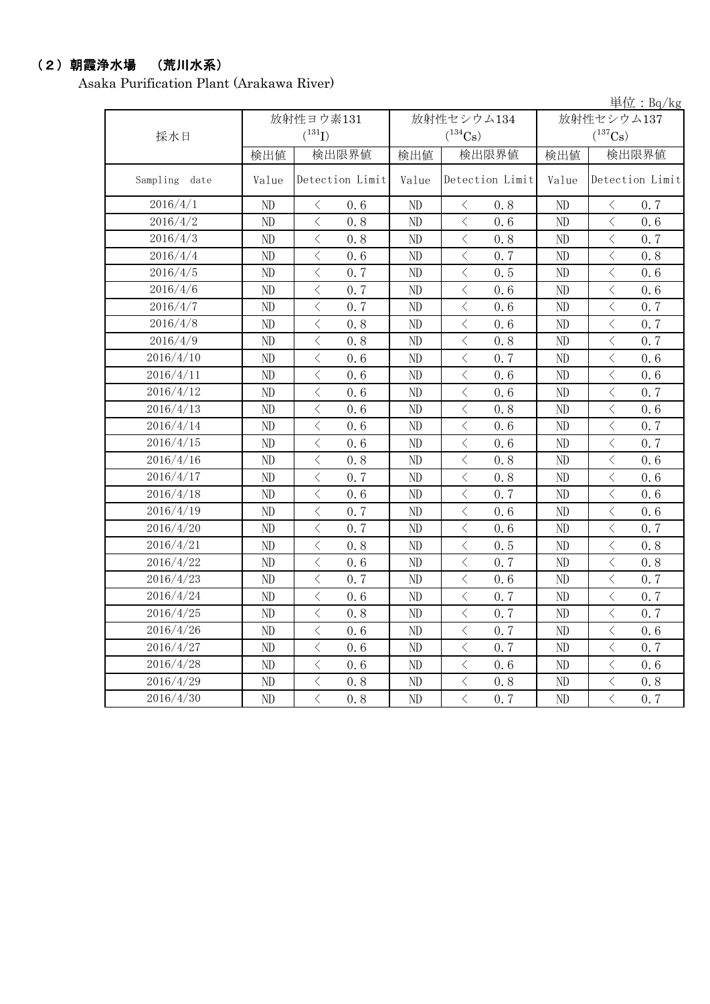## (2)朝霞浄水場 (荒川水系)

Asaka Purification Plant (Arakawa River)

単位:Bq/kg

| 採水日              |          | 放射性ヨウ素131<br>$(^{131}I)$                        |          | 放射性セシウム134<br>$(^{134}Cs)$                      | 放射性セシウム137<br>$(^{137}Cs)$ |                                         |  |
|------------------|----------|-------------------------------------------------|----------|-------------------------------------------------|----------------------------|-----------------------------------------|--|
|                  | 検出値      | 検出限界値                                           | 検出値      | 検出限界値                                           | 検出値                        | 検出限界値                                   |  |
| Sampling<br>date | Value    | Detection Limit                                 | Value    | Detection Limit                                 | Value                      | Detection Limit                         |  |
| 2016/4/1         | ND       | $\langle$<br>0.6                                | ND       | $\big\langle$<br>0.8                            | ND                         | $\langle$<br>0.7                        |  |
| 2016/4/2         | ND       | $\overline{\left\langle \right\rangle }$<br>0.8 | ND       | $\overline{\left\langle \right\rangle }$<br>0.6 | N <sub>D</sub>             | $\langle$<br>0.6                        |  |
| 2016/4/3         | ND       | $\lt$<br>0.8                                    | ND       | $\lt$<br>0.8                                    | ND                         | 0.7<br>$\lt$                            |  |
| 2016/4/4         | ND       | $\hspace{0.1mm} <\hspace{0.1mm}$<br>0.6         | ND       | $\hspace{0.5cm}\big\langle$<br>0.7              | ND                         | $\hspace{0.1mm} <\hspace{0.1mm}$<br>0.8 |  |
| 2016/4/5         | ND       | $\,$ $\,$ $\,$<br>0.7                           | ND       | $\overline{\left\langle \right\rangle }$<br>0.5 | ND                         | $\langle$<br>0.6                        |  |
| 2016/4/6         | ND       | $\langle$<br>0.7                                | ND       | $\overline{\left\langle \right\rangle }$<br>0.6 | ND                         | $\langle$<br>0.6                        |  |
| 2016/4/7         | ND       | $\langle$<br>0.7                                | ND       | $\lt$<br>0.6                                    | ND                         | $\lt$<br>0.7                            |  |
| 2016/4/8         | ND       | $\langle$<br>0.8                                | ND       | $\lt$<br>0.6                                    | N <sub>D</sub>             | $\langle$<br>0.7                        |  |
| 2016/4/9         | ND       | $\langle$<br>0.8                                | ND       | $\lt$<br>0.8                                    | ND                         | $\langle$<br>0.7                        |  |
| 2016/4/10        | ND       | $\langle$<br>0.6                                | ND       | $\overline{\left\langle \right\rangle }$<br>0.7 | ND                         | $\lt$<br>0.6                            |  |
| 2016/4/11        | ND       | $\lt$<br>0.6                                    | ND       | $\lt$<br>0.6                                    | ND                         | $\lt$<br>0.6                            |  |
| 2016/4/12        | ND       | $\langle$<br>0, 6                               | $\rm ND$ | $\lt$<br>0.6                                    | $\rm ND$                   | $\lt$<br>0.7                            |  |
| 2016/4/13        | ND       | $\langle$<br>0.6                                | ND       | $\langle$<br>0.8                                | ND                         | $\langle$<br>0.6                        |  |
| 2016/4/14        | ND       | $\overline{\left\langle \right\rangle }$<br>0.6 | ND       | $\overline{\left\langle \right\rangle }$<br>0.6 | ND                         | $\langle$<br>0.7                        |  |
| 2016/4/15        | ND       | $\overline{\left\langle \right\rangle }$<br>0.6 | ND       | $\langle$<br>0.6                                | ND                         | $\langle$<br>0.7                        |  |
| 2016/4/16        | ND       | $\langle$<br>0.8                                | ND       | $\lt$<br>0.8                                    | ND                         | $\langle$<br>0.6                        |  |
| 2016/4/17        | ND       | $\langle$<br>0.7                                | ND       | $\lt$<br>0.8                                    | ND                         | $\langle$<br>0.6                        |  |
| 2016/4/18        | ND       | $\lt$<br>0, 6                                   | ND       | $\langle$<br>0, 7                               | N <sub>D</sub>             | $\lt$<br>0.6                            |  |
| 2016/4/19        | ND       | $\, < \,$<br>0.7                                | ND       | $\lt$<br>0.6                                    | ND                         | $\lt$<br>0.6                            |  |
| 2016/4/20        | ND       | $\langle$<br>0.7                                | ND       | $\overline{\left\langle \right\rangle }$<br>0.6 | ND                         | $\langle$<br>0.7                        |  |
| 2016/4/21        | ND       | $\langle$<br>0.8                                | ND       | $\lt$<br>0.5                                    | ND                         | $\lt$<br>0.8                            |  |
| 2016/4/22        | ND       | $\overline{\left\langle \right\rangle }$<br>0.6 | ND       | $\overline{\left\langle \right\rangle }$<br>0.7 | ND                         | $\langle$<br>0.8                        |  |
| 2016/4/23        | ND       | $\overline{\left\langle \right\rangle }$<br>0.7 | ND       | $\langle$<br>0.6                                | ND                         | $\langle$<br>0.7                        |  |
| 2016/4/24        | ND       | $\langle$<br>0.6                                | ND       | $\overline{\left\langle \right\rangle }$<br>0.7 | ND                         | $\,$ $\,$ $\,$<br>0.7                   |  |
| 2016/4/25        | ND       | $\langle$<br>0.8                                | ND       | $\overline{\left\langle \right\rangle }$<br>0.7 | ND                         | $\langle$<br>0.7                        |  |
| 2016/4/26        | ND       | $\langle$<br>0.6                                | ND       | $\langle$<br>0.7                                | ND                         | $\langle$<br>0.6                        |  |
| 2016/4/27        | ND       | $\lt$<br>0.6                                    | ND       | $\lt$<br>0.7                                    | ND                         | $\lt$<br>0.7                            |  |
| 2016/4/28        | $\rm ND$ | $\langle$<br>0.6                                | ND       | 0.6<br>$\lt$                                    | ND                         | $\,$ $\,$ $\,$<br>0.6                   |  |
| 2016/4/29        | ND       | $\langle$<br>0.8                                | $\rm ND$ | $\lt$<br>0.8                                    | ND                         | $\langle$<br>0.8                        |  |
| 2016/4/30        | ND       | $\overline{\left\langle \right\rangle }$<br>0.8 | ND       | $\overline{\left\langle \right\rangle }$<br>0.7 | ND                         | $\langle$<br>0.7                        |  |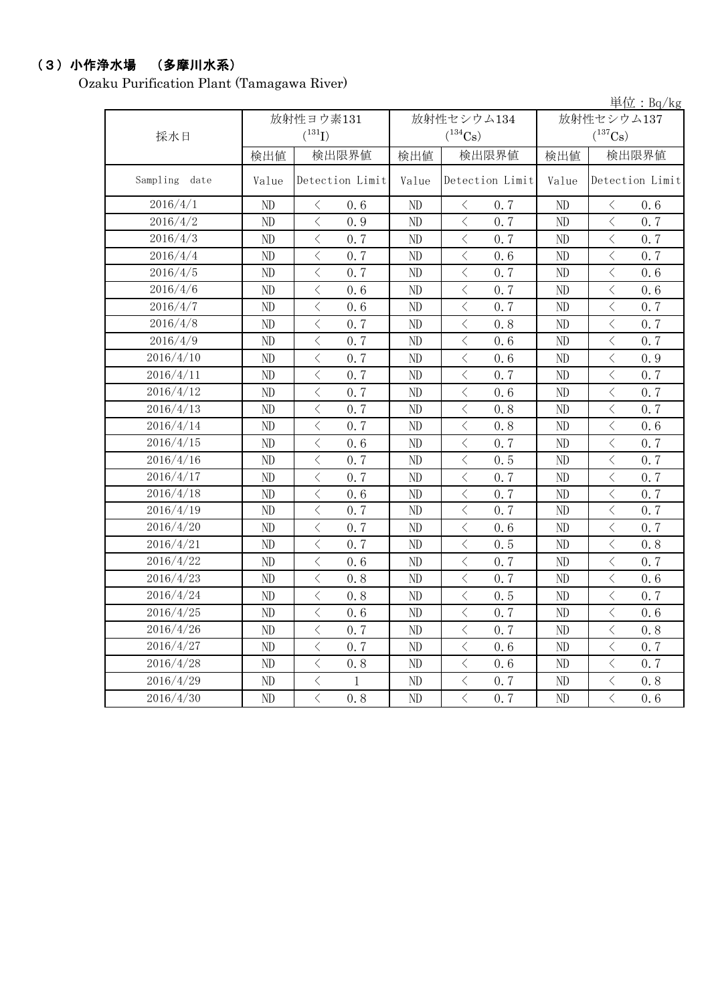## (3)小作浄水場 (多摩川水系)

Ozaku Purification Plant (Tamagawa River)

|               |       |                                                 |          |                                    |            | 単位: Bq/kg                                        |  |
|---------------|-------|-------------------------------------------------|----------|------------------------------------|------------|--------------------------------------------------|--|
|               |       | 放射性ヨウ素131                                       |          | 放射性セシウム134                         | 放射性セシウム137 |                                                  |  |
| 採水日           |       | $(^{131}I)$                                     |          | $(^{134}Cs)$                       |            | $(^{137}Cs)$                                     |  |
|               | 検出値   | 検出限界値                                           | 検出値      | 検出限界値                              | 検出値        | 検出限界値                                            |  |
| Sampling date | Value | Detection Limit                                 | Value    | Detection Limit                    | Value      | Detection Limit                                  |  |
| 2016/4/1      | ND    | $\langle$<br>0.6                                | $\rm ND$ | $\langle$<br>0.7                   | ND         | 0.6<br>$\langle$                                 |  |
| 2016/4/2      | ND    | $\langle$<br>0.9                                | ND       | $\langle$<br>0.7                   | ND         | $\langle$<br>0.7                                 |  |
| 2016/4/3      | ND    | $\overline{\langle}$<br>0.7                     | ND       | $\langle$<br>0.7                   | ND         | $\overline{\left\langle \right\rangle }$<br>0.7  |  |
| 2016/4/4      | ND    | $\overline{\left\langle \right\rangle }$<br>0.7 | ND       | $\langle$<br>0.6                   | ND         | $\langle$<br>0.7                                 |  |
| 2016/4/5      | ND    | $\,$ $\,$ $\,$<br>0.7                           | ND       | $\lt$<br>0.7                       | ND         | $\lt$<br>0.6                                     |  |
| 2016/4/6      | ND    | $\overline{\left\langle \right\rangle }$<br>0.6 | ND       | $\,$ $\,$ $\,$<br>0.7              | ND         | $\langle$<br>0.6                                 |  |
| 2016/4/7      | ND    | $\,$ $\,$ $\,$<br>0.6                           | ND       | $\hspace{0.1mm}\big\langle$<br>0.7 | ND         | $\hspace{0.5cm} <$<br>0.7                        |  |
| 2016/4/8      | ND    | $\,$ $\,$ $\,$<br>0.7                           | ND       | $\langle$<br>0.8                   | ND         | $\langle$<br>0.7                                 |  |
| 2016/4/9      | ND    | $\lt$<br>0.7                                    | ND       | $\langle$<br>0.6                   | ND         | $\, \big\langle \,$<br>0.7                       |  |
| 2016/4/10     | ND    | $\langle$<br>0.7                                | ND       | $\langle$<br>0.6                   | $\rm ND$   | $\lt$<br>0.9                                     |  |
| 2016/4/11     | ND    | $\lt$<br>0.7                                    | ND       | $\langle$<br>0.7                   | ND         | $\lt$<br>0.7                                     |  |
| 2016/4/12     | ND    | $\langle$<br>0.7                                | ND       | $\langle$<br>0.6                   | ND         | $\langle$<br>0.7                                 |  |
| 2016/4/13     | ND    | $\overline{\left\langle \right\rangle }$<br>0.7 | ND       | $\,$ $\,$ $\,$<br>0.8              | ND         | $\langle$<br>0.7                                 |  |
| 2016/4/14     | ND    | $\overline{\left\langle \right\rangle }$<br>0.7 | ND       | $\,$ $\,$ $\,$<br>0.8              | ND         | $\langle$<br>0.6                                 |  |
| 2016/4/15     | ND    | $\overline{\left\langle \right\rangle }$<br>0.6 | ND       | $\,$ $\,$ $\,$<br>0.7              | ND         | $\,$ $\,$ $\,$<br>0.7                            |  |
| 2016/4/16     | ND    | $\overline{\left\langle \right\rangle }$<br>0.7 | ND       | $\overline{\langle}$<br>0.5        | ND         | $\overline{\left\langle \right\rangle }$<br>0, 7 |  |
| 2016/4/17     | ND    | $\,$ $\,$ $\,$<br>0.7                           | ND       | $\langle$<br>0.7                   | ND         | $\,$ $\,$ $\,$<br>0.7                            |  |
| 2016/4/18     | ND    | $\,$ $\,$ $\,$<br>0.6                           | ND       | $\langle$<br>0.7                   | $\rm ND$   | $\lt$<br>0.7                                     |  |
| 2016/4/19     | ND    | $\,$ $\,$ $\,$<br>0.7                           | ND       | $\lt$<br>0.7                       | ND         | $\lt$<br>0.7                                     |  |
| 2016/4/20     | ND    | $\langle$<br>0.7                                | ND       | $\,$ $\,$ $\,$<br>0.6              | ND         | $\,$ $\,$ $\,$<br>0.7                            |  |
| 2016/4/21     | ND    | $\,$ $\,$ $\,$<br>0.7                           | ND       | $\lt$<br>0.5                       | ND         | $\,$ $\,$ $\,$<br>0.8                            |  |
| 2016/4/22     | ND    | $\lt$<br>0.6                                    | ND       | $\langle$<br>0.7                   | ND         | $\lt$<br>0.7                                     |  |
| 2016/4/23     | ND    | $\langle$<br>0.8                                | ND       | $\, \big\langle \,$<br>0.7         | ND         | $\langle$<br>0.6                                 |  |
| 2016/4/24     | ND    | $\lt$<br>0.8                                    | ND       | $\langle$<br>0.5                   | ND         | $\lt$<br>0.7                                     |  |
| 2016/4/25     | ND    | $\langle$<br>0.6                                | ND       | $\langle$<br>0.7                   | ND         | $\langle$<br>0.6                                 |  |
| 2016/4/26     | ND    | $\lt$<br>0.7                                    | ND       | $\lt$<br>0.7                       | ND         | $\lt$<br>0.8                                     |  |
| 2016/4/27     | ND    | $\overline{\left\langle \right\rangle }$<br>0.7 | ND       | $\langle$<br>0.6                   | ND         | $\langle$<br>0.7                                 |  |
| 2016/4/28     | ND    | $\overline{\left\langle \right\rangle }$<br>0.8 | ND       | $\,$ $\,$ $\,$<br>0.6              | ND         | $\langle$<br>0.7                                 |  |
| 2016/4/29     | ND    | $\,$ $\,$ $\,$<br>1                             | ND       | $\langle$<br>0.7                   | ND         | $\langle$<br>0.8                                 |  |
| 2016/4/30     | ND    | $\overline{\left\langle \right\rangle }$<br>0.8 | ND       | $\overline{\langle}$<br>0.7        | ND         | $\overline{\langle}$<br>0.6                      |  |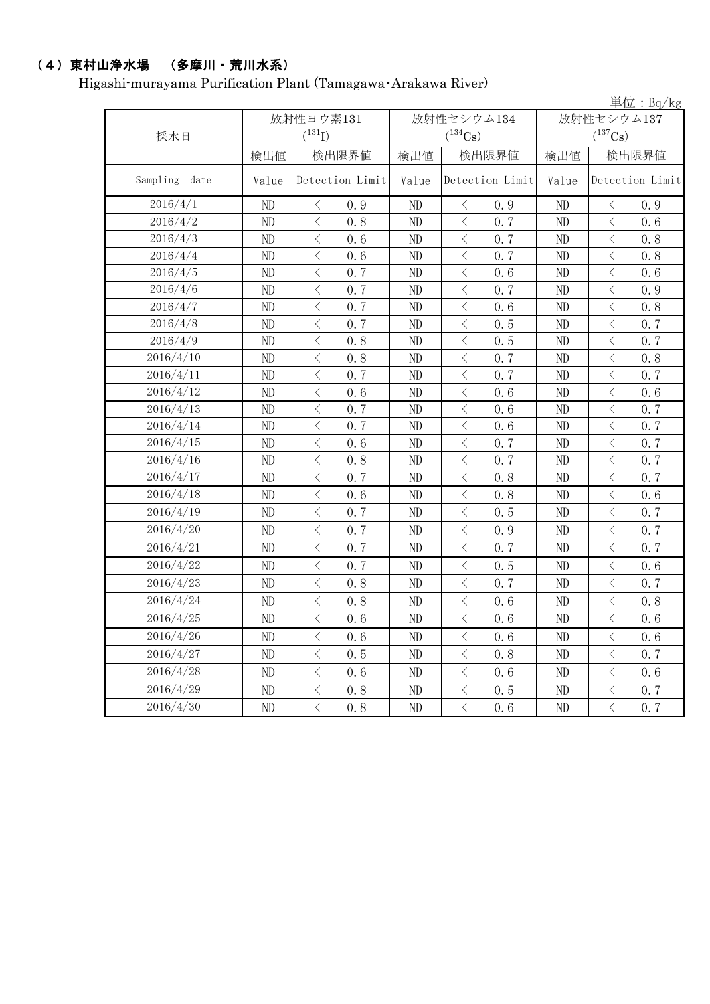## (4)東村山浄水場 (多摩川・荒川水系)

Higashi-murayama Purification Plant (Tamagawa・Arakawa River)

|                  |       |                                    | 単位: $Bq/kg$ |                            |       |                                                                                                               |
|------------------|-------|------------------------------------|-------------|----------------------------|-------|---------------------------------------------------------------------------------------------------------------|
|                  |       | 放射性ヨウ素131                          |             | 放射性セシウム134                 |       | 放射性セシウム137                                                                                                    |
| 採水日              |       | $(^{131}I)$                        |             | $(^{134}Cs)$               |       | $(^{137}Cs)$                                                                                                  |
|                  | 検出値   | 検出限界値                              | 検出値         | 検出限界値                      | 検出値   | 検出限界値                                                                                                         |
| Sampling<br>date | Value | Detection Limit                    | Value       | Detection Limit            | Value | Detection Limit                                                                                               |
| 2016/4/1         | ND    | $\langle$<br>0.9                   | $\rm ND$    | $\lt$<br>0.9               | ND    | 0.9<br>$\lt$                                                                                                  |
| 2016/4/2         | ND    | $\lt$<br>0.8                       | ND          | $\langle$<br>0.7           | ND    | $\langle$<br>0.6                                                                                              |
| 2016/4/3         | ND    | $\lt$<br>0.6                       | ND          | $\langle$<br>0.7           | ND    | $\,$ $\,$ $\,$<br>0.8                                                                                         |
| 2016/4/4         | ND    | $\langle$<br>0.6                   | ND          | $\,$ $\,$ $\,$<br>0.7      | ND    | $\overline{\left\langle \right\rangle }$<br>0.8                                                               |
| 2016/4/5         | ND    | $\langle$<br>0.7                   | $\rm ND$    | $\langle$<br>0.6           | ND    | $\langle$<br>0.6                                                                                              |
| 2016/4/6         | ND    | $\langle$<br>0.7                   | ND          | $\langle$<br>0.7           | ND    | $\langle$<br>0.9                                                                                              |
| 2016/4/7         | ND    | $\, <\,$<br>0.7                    | ND          | $\langle$<br>0.6           | ND    | $\hspace{0.1mm}\mathopen{\begin{array}{c}\mathopen{\fbox{$\scriptstyle<\}}\end{array}}\hspace{-0.1mm}$<br>0.8 |
| 2016/4/8         | ND    | 0.7<br>$\, <\,$                    | ND          | 0.5<br>$\langle$           | ND    | $\langle$<br>0.7                                                                                              |
| 2016/4/9         | ND    | $\,$ $\,$ $\,$<br>0.8              | ND          | $\langle$<br>0.5           | ND    | $\,<\,$<br>0.7                                                                                                |
| 2016/4/10        | ND    | $\hspace{0.5cm}\big\langle$<br>0.8 | ND          | $\langle$<br>0.7           | ND    | $\hspace{0.5cm}\big\langle$<br>0.8                                                                            |
| 2016/4/11        | ND    | $\,$ $\,$ $\,$<br>0.7              | ND          | $\langle$<br>0.7           | ND    | $\overline{\left\langle \right\rangle }$<br>0.7                                                               |
| 2016/4/12        | ND    | $\,$ $\,$ $\,$<br>0.6              | ND          | $\langle$<br>0.6           | ND    | $\,<\,$<br>0.6                                                                                                |
| 2016/4/13        | ND    | $\langle$<br>0.7                   | ND          | $\langle$<br>0.6           | ND    | $\langle$<br>0.7                                                                                              |
| 2016/4/14        | ND    | $\langle$<br>0.7                   | $\rm ND$    | $\langle$<br>0.6           | ND    | $\,$ $\,$ $\,$<br>0.7                                                                                         |
| 2016/4/15        | ND    | $\lt$<br>0.6                       | ND          | $\langle$<br>0.7           | ND    | $\,$ $\,$ $\,$<br>0.7                                                                                         |
| 2016/4/16        | ND    | $\,$ $\,$ $\,$<br>0.8              | $\rm ND$    | 0.7<br>$\langle$           | ND    | $\,$ $\,$ $\,$<br>0.7                                                                                         |
| 2016/4/17        | ND    | $\langle$<br>0.7                   | ND          | $\langle$<br>0.8           | ND    | $\langle$<br>0.7                                                                                              |
| 2016/4/18        | ND    | $\langle$<br>0.6                   | ND          | $\langle$<br>0.8           | ND    | $\langle$<br>0.6                                                                                              |
| 2016/4/19        | ND    | $\langle$<br>0.7                   | $\rm ND$    | $\langle$<br>0.5           | ND    | $\,$ $\,$ $\,$<br>0.7                                                                                         |
| 2016/4/20        | ND    | $\langle$<br>0.7                   | ND          | $\langle$<br>0.9           | ND    | $\langle$<br>0.7                                                                                              |
| 2016/4/21        | ND    | $\langle$<br>0.7                   | ND          | $\langle$<br>0.7           | ND    | $\langle$<br>0.7                                                                                              |
| 2016/4/22        | ND    | $\langle$<br>0.7                   | ND          | $\langle$<br>0.5           | ND    | $\,$ $\,$ $\,$<br>0.6                                                                                         |
| 2016/4/23        | ND    | $\langle$<br>0.8                   | $\rm ND$    | $\langle$<br>0.7           | ND    | $\langle$<br>0.7                                                                                              |
| 2016/4/24        | ND    | $\langle$<br>0.8                   | ND          | $\langle$<br>0.6           | ND    | $\langle$<br>0.8                                                                                              |
| 2016/4/25        | ND    | $\langle$<br>0.6                   | ND          | $\,$ $\,$ $\,$<br>0.6      | ND    | $\langle$<br>0.6                                                                                              |
| 2016/4/26        | ND    | $\mathord{<}$<br>0.6               | ND          | $\, \big\langle \,$<br>0.6 | ND    | 0.6<br>$\lt$                                                                                                  |
| 2016/4/27        | ND    | $\langle$<br>0.5                   | ND          | $\langle$<br>0.8           | ND    | $\hspace{0.1mm} <\hspace{0.1mm}$<br>0.7                                                                       |
| 2016/4/28        | ND    | $\mathord{<}$<br>0.6               | ND          | $\, \big\langle \,$<br>0.6 | ND    | $\hspace{0.1mm}\mathopen{\begin{array}{c}\mathopen{\fbox{$\scriptstyle<\}}\end{array}}\hspace{-0.1mm}$<br>0.6 |
| 2016/4/29        | ND    | $\, <\,$<br>0.8                    | ND          | $\langle$<br>0.5           | ND    | $\, <\,$<br>0.7                                                                                               |
| 2016/4/30        | ND    | $\langle$<br>0, 8                  | ND          | $\big\langle$<br>0.6       | ND    | $\, \big\langle \,$<br>0, 7                                                                                   |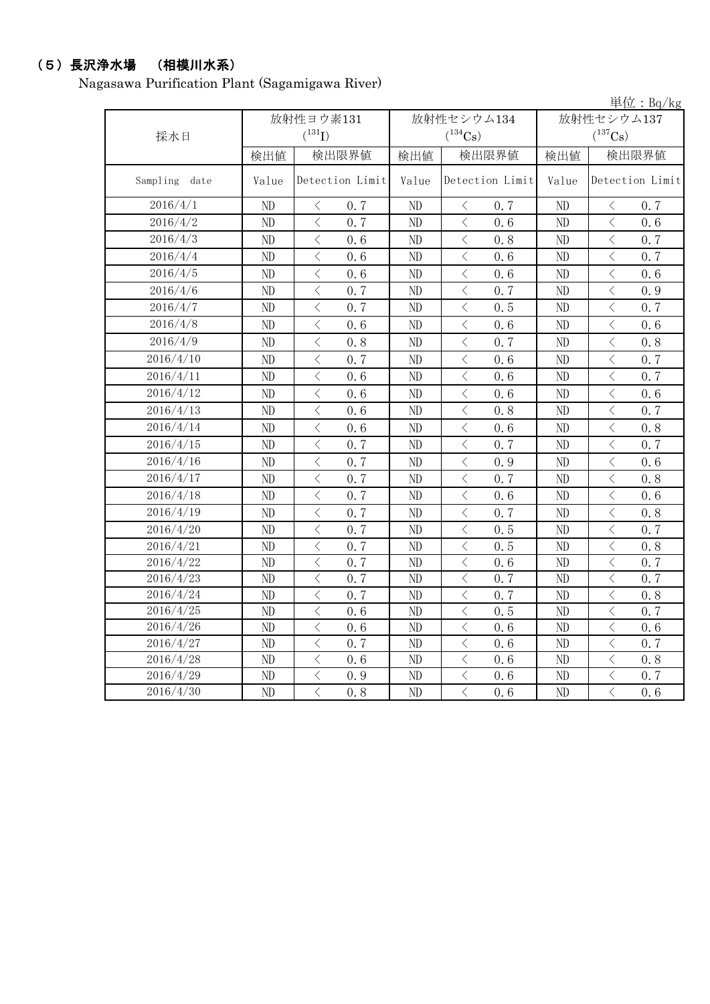# (5)長沢浄水場 (相模川水系)

Nagasawa Purification Plant (Sagamigawa River)

|               |       |                                                  |                |                                                 |                | $\frac{\dot{\mathbb{H}}\dot{\mathbb{G}} : \mathbb{B}q/\mathrm{kg}}{R}$ |  |
|---------------|-------|--------------------------------------------------|----------------|-------------------------------------------------|----------------|------------------------------------------------------------------------|--|
|               |       | 放射性ヨウ素131                                        |                | 放射性セシウム134                                      | 放射性セシウム137     |                                                                        |  |
| 採水日           |       | $(^{131}I)$                                      |                | $(^{134}Cs)$                                    |                | $(^{137}Cs)$                                                           |  |
|               | 検出値   | 検出限界値                                            | 検出値            | 検出限界値                                           |                | 検出限界値                                                                  |  |
| Sampling date | Value | Detection Limit                                  | Value          | Detection Limit                                 | Value          | Detection Limit                                                        |  |
| 2016/4/1      | ND    | $\langle$<br>0.7                                 | ND             | $\langle$<br>0.7                                | ND             | $\, \big\langle \,$<br>0.7                                             |  |
| 2016/4/2      | ND    | $\langle$<br>0.7                                 | N <sub>D</sub> | $\langle$<br>0.6                                | ND             | $\langle$<br>0, 6                                                      |  |
| 2016/4/3      | ND    | $\bigg\langle$<br>0.6                            | ND             | $\, <\,$<br>0.8                                 | ND             | $\, \big\langle \,$<br>0.7                                             |  |
| 2016/4/4      | ND    | $\langle$<br>0.6                                 | ND             | $\, <\,$<br>0.6                                 | ND             | $\, \big\langle \,$<br>0.7                                             |  |
| 2016/4/5      | ND    | $\,$ $\,$ $\,$<br>0.6                            | ND             | $\lt$<br>0.6                                    | ND             | $\,$ $\,$ $\,$<br>0.6                                                  |  |
| 2016/4/6      | ND    | $\langle$<br>0.7                                 | ND             | $\,$ $\,$ $\,$<br>0.7                           | ND             | $\langle$<br>0.9                                                       |  |
| 2016/4/7      | ND    | $\lt$<br>0.7                                     | ND             | $\lt$<br>0.5                                    | ND             | $\lt$<br>0.7                                                           |  |
| 2016/4/8      | ND    | $\langle$<br>0.6                                 | ND             | $\langle$<br>0.6                                | N <sub>D</sub> | $\langle$<br>0.6                                                       |  |
| 2016/4/9      | ND    | $\, \big\langle \,$<br>0.8                       | ND             | $\langle$<br>0.7                                | ND             | $\, \big\langle \,$<br>0.8                                             |  |
| 2016/4/10     | ND    | $\langle$<br>0.7                                 | ND             | $\langle$<br>0.6                                | ND             | $\overline{\left\langle \right\rangle }$<br>0.7                        |  |
| 2016/4/11     | ND    | $\langle$<br>0.6                                 | ND             | $\langle$<br>0.6                                | ND             | $\langle$<br>0.7                                                       |  |
| 2016/4/12     | ND    | $\lt$<br>0, 6                                    | ND             | $\langle$<br>0.6                                | ND             | $\lt$<br>0, 6                                                          |  |
| 2016/4/13     | ND    | $\,$ $\,$ $\,$<br>0.6                            | ND             | $\lt$<br>0.8                                    | ND             | $\,$ $\,$ $\,$<br>0.7                                                  |  |
| 2016/4/14     | ND    | $\langle$<br>0.6                                 | ND             | 0.6<br>$\lt$                                    | ND             | $\langle$<br>0.8                                                       |  |
| 2016/4/15     | ND    | $\langle$<br>0.7                                 | ND             | $\langle$<br>0.7                                | ND             | $\lt$<br>0.7                                                           |  |
| 2016/4/16     | ND    | $\langle$<br>0.7                                 | ND             | $\lt$<br>0.9                                    | ND             | $\,$ $\,$ $\,$<br>0.6                                                  |  |
| 2016/4/17     | ND    | $\langle$<br>0.7                                 | ND             | $\langle$<br>0.7                                | ND             | $\lt$<br>0.8                                                           |  |
| 2016/4/18     | ND    | $\langle$<br>0.7                                 | ND             | $\overline{\left\langle \right\rangle }$<br>0.6 | ND             | $\langle$<br>0.6                                                       |  |
| 2016/4/19     | ND    | $\langle$<br>0.7                                 | ND             | $\langle$<br>0.7                                | ND             | $\langle$<br>0.8                                                       |  |
| 2016/4/20     | ND    | $\overline{\left\langle \right\rangle }$<br>0.7  | ND             | $\langle$<br>0.5                                | ND             | $\lt$<br>0.7                                                           |  |
| 2016/4/21     | ND    | $\lt$<br>0.7                                     | ND             | $\langle$<br>0.5                                | ND             | $\lt$<br>0.8                                                           |  |
| 2016/4/22     | ND    | $\overline{\left\langle \right\rangle }$<br>0.7  | ND             | $\langle$<br>0.6                                | ND             | $\langle$<br>0.7                                                       |  |
| 2016/4/23     | ND    | $\overline{\left\langle \right\rangle }$<br>0.7  | ND             | $\overline{\left\langle \right\rangle }$<br>0.7 | ND             | $\overline{\left\langle \right\rangle }$<br>0.7                        |  |
| 2016/4/24     | ND    | $\overline{\left\langle \right\rangle }$<br>0.7  | ND             | $\langle$<br>0.7                                | ND             | $\overline{\left\langle \right\rangle }$<br>0.8                        |  |
| 2016/4/25     | ND    | $\overline{\left\langle \right\rangle }$<br>0, 6 | ND             | $\langle$<br>0.5                                | ND             | $\overline{\left\langle \right\rangle }$<br>0.7                        |  |
| 2016/4/26     | ND    | $\overline{\left\langle \right\rangle }$<br>0, 6 | ND             | $\langle$<br>0, 6                               | ND             | $\overline{\left\langle \right\rangle }$<br>0.6                        |  |
| 2016/4/27     | ND    | $\langle$<br>0.7                                 | ND             | $\langle$<br>0.6                                | ND             | $\overline{\left\langle \right\rangle }$<br>0.7                        |  |
| 2016/4/28     | ND    | $\langle$<br>0.6                                 | ND             | $\lt$<br>0.6                                    | ND             | $\langle$<br>0.8                                                       |  |
| 2016/4/29     | ND    | $\lt$<br>0.9                                     | ND             | $\langle$<br>0.6                                | ND             | $\lt$<br>0.7                                                           |  |
| 2016/4/30     | ND    | $\langle$<br>0.8                                 | ND             | $\overline{\left\langle \right\rangle }$<br>0.6 | ND             | $\langle$<br>0.6                                                       |  |